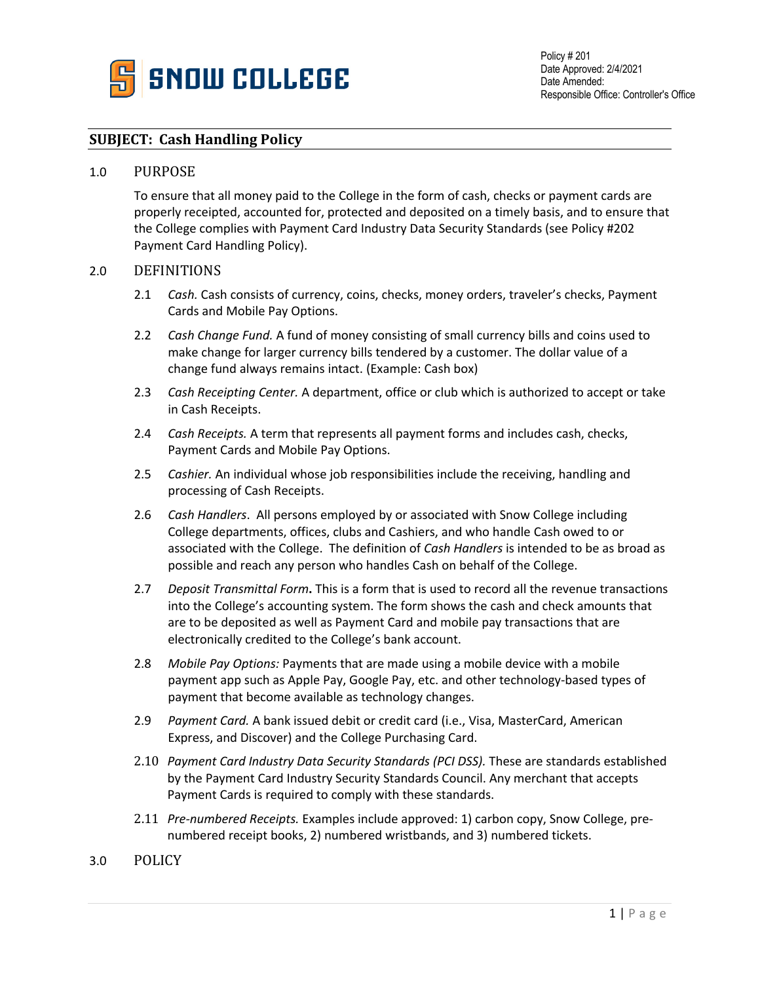

# **SUBJECT: Cash Handling Policy**

#### 1.0 PURPOSE

To ensure that all money paid to the College in the form of cash, checks or payment cards are properly receipted, accounted for, protected and deposited on a timely basis, and to ensure that the College complies with Payment Card Industry Data Security Standards (see Policy #202 Payment Card Handling Policy).

### 2.0 DEFINITIONS

- 2.1 *Cash.* Cash consists of currency, coins, checks, money orders, traveler's checks, Payment Cards and Mobile Pay Options.
- 2.2 *Cash Change Fund.* A fund of money consisting of small currency bills and coins used to make change for larger currency bills tendered by a customer. The dollar value of a change fund always remains intact. (Example: Cash box)
- 2.3 *Cash Receipting Center.* A department, office or club which is authorized to accept or take in Cash Receipts.
- 2.4 *Cash Receipts.* A term that represents all payment forms and includes cash, checks, Payment Cards and Mobile Pay Options.
- 2.5 *Cashier.* An individual whose job responsibilities include the receiving, handling and processing of Cash Receipts.
- 2.6 *Cash Handlers*. All persons employed by or associated with Snow College including College departments, offices, clubs and Cashiers, and who handle Cash owed to or associated with the College. The definition of *Cash Handlers* is intended to be as broad as possible and reach any person who handles Cash on behalf of the College.
- 2.7 *Deposit Transmittal Form***.** This is a form that is used to record all the revenue transactions into the College's accounting system. The form shows the cash and check amounts that are to be deposited as well as Payment Card and mobile pay transactions that are electronically credited to the College's bank account.
- 2.8 *Mobile Pay Options:* Payments that are made using a mobile device with a mobile payment app such as Apple Pay, Google Pay, etc. and other technology-based types of payment that become available as technology changes.
- 2.9 *Payment Card.* A bank issued debit or credit card (i.e., Visa, MasterCard, American Express, and Discover) and the College Purchasing Card.
- 2.10 *Payment Card Industry Data Security Standards (PCI DSS).* These are standards established by the Payment Card Industry Security Standards Council. Any merchant that accepts Payment Cards is required to comply with these standards.
- 2.11 *Pre-numbered Receipts.* Examples include approved: 1) carbon copy, Snow College, prenumbered receipt books, 2) numbered wristbands, and 3) numbered tickets.
- 3.0 POLICY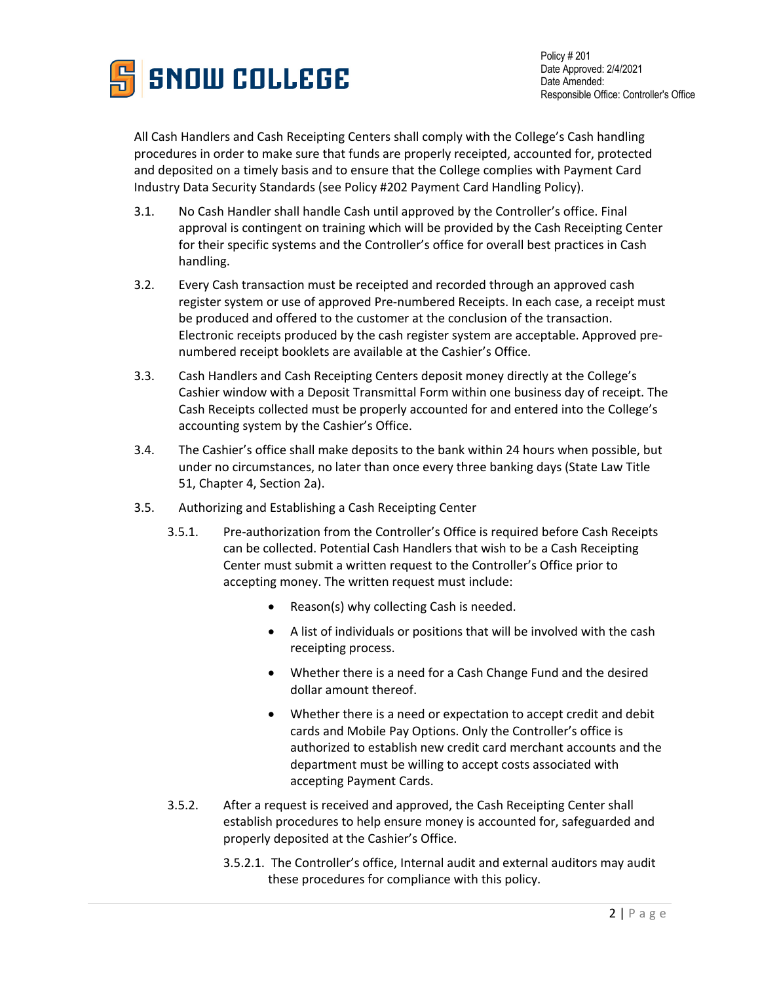

All Cash Handlers and Cash Receipting Centers shall comply with the College's Cash handling procedures in order to make sure that funds are properly receipted, accounted for, protected and deposited on a timely basis and to ensure that the College complies with Payment Card Industry Data Security Standards (see Policy #202 Payment Card Handling Policy).

- 3.1. No Cash Handler shall handle Cash until approved by the Controller's office. Final approval is contingent on training which will be provided by the Cash Receipting Center for their specific systems and the Controller's office for overall best practices in Cash handling.
- 3.2. Every Cash transaction must be receipted and recorded through an approved cash register system or use of approved Pre-numbered Receipts. In each case, a receipt must be produced and offered to the customer at the conclusion of the transaction. Electronic receipts produced by the cash register system are acceptable. Approved prenumbered receipt booklets are available at the Cashier's Office.
- 3.3. Cash Handlers and Cash Receipting Centers deposit money directly at the College's Cashier window with a Deposit Transmittal Form within one business day of receipt. The Cash Receipts collected must be properly accounted for and entered into the College's accounting system by the Cashier's Office.
- 3.4. The Cashier's office shall make deposits to the bank within 24 hours when possible, but under no circumstances, no later than once every three banking days (State Law Title 51, Chapter 4, Section 2a).
- 3.5. Authorizing and Establishing a Cash Receipting Center
	- 3.5.1. Pre-authorization from the Controller's Office is required before Cash Receipts can be collected. Potential Cash Handlers that wish to be a Cash Receipting Center must submit a written request to the Controller's Office prior to accepting money. The written request must include:
		- Reason(s) why collecting Cash is needed.
		- A list of individuals or positions that will be involved with the cash receipting process.
		- Whether there is a need for a Cash Change Fund and the desired dollar amount thereof.
		- Whether there is a need or expectation to accept credit and debit cards and Mobile Pay Options. Only the Controller's office is authorized to establish new credit card merchant accounts and the department must be willing to accept costs associated with accepting Payment Cards.
	- 3.5.2. After a request is received and approved, the Cash Receipting Center shall establish procedures to help ensure money is accounted for, safeguarded and properly deposited at the Cashier's Office.
		- 3.5.2.1. The Controller's office, Internal audit and external auditors may audit these procedures for compliance with this policy.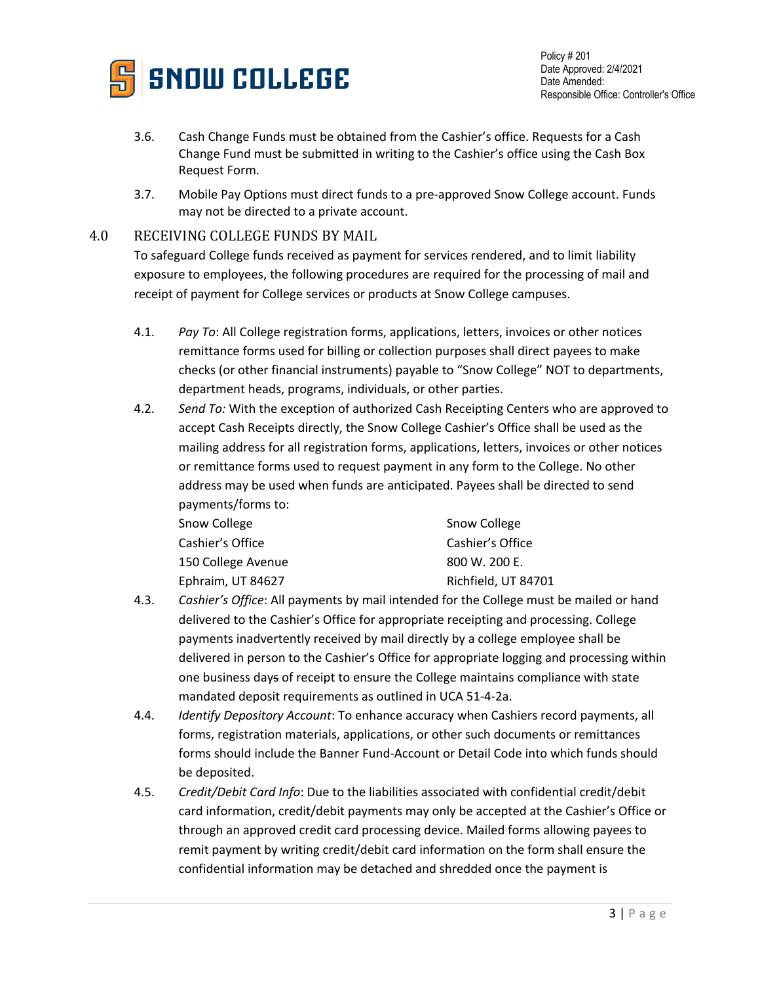

Policy # 201 Date Approved: 2/4/2021 Date Amended: Responsible Office: Controller's Office

- 3.6. Cash Change Funds must be obtained from the Cashier's office. Requests for a Cash Change Fund must be submitted in writing to the Cashier's office using the Cash Box Request Form.
- 3.7. Mobile Pay Options must direct funds to a pre-approved Snow College account. Funds may not be directed to a private account.

## 4.0 RECEIVING COLLEGE FUNDS BY MAIL

To safeguard College funds received as payment for services rendered, and to limit liability exposure to employees, the following procedures are required for the processing of mail and receipt of payment for College services or products at Snow College campuses.

- 4.1. *Pay To*: All College registration forms, applications, letters, invoices or other notices remittance forms used for billing or collection purposes shall direct payees to make checks (or other financial instruments) payable to "Snow College" NOT to departments, department heads, programs, individuals, or other parties.
- 4.2. *Send To:* With the exception of authorized Cash Receipting Centers who are approved to accept Cash Receipts directly, the Snow College Cashier's Office shall be used as the mailing address for all registration forms, applications, letters, invoices or other notices or remittance forms used to request payment in any form to the College. No other address may be used when funds are anticipated. Payees shall be directed to send payments/forms to:

| Snow College       | Snow College        |
|--------------------|---------------------|
| Cashier's Office   | Cashier's Office    |
| 150 College Avenue | 800 W. 200 E.       |
| Ephraim, UT 84627  | Richfield, UT 84701 |

- 4.3. *Cashier's Office*: All payments by mail intended for the College must be mailed or hand delivered to the Cashier's Office for appropriate receipting and processing. College payments inadvertently received by mail directly by a college employee shall be delivered in person to the Cashier's Office for appropriate logging and processing within one business days of receipt to ensure the College maintains compliance with state mandated deposit requirements as outlined in UCA 51-4-2a.
- 4.4. *Identify Depository Account*: To enhance accuracy when Cashiers record payments, all forms, registration materials, applications, or other such documents or remittances forms should include the Banner Fund-Account or Detail Code into which funds should be deposited.
- 4.5. *Credit/Debit Card Info*: Due to the liabilities associated with confidential credit/debit card information, credit/debit payments may only be accepted at the Cashier's Office or through an approved credit card processing device. Mailed forms allowing payees to remit payment by writing credit/debit card information on the form shall ensure the confidential information may be detached and shredded once the payment is